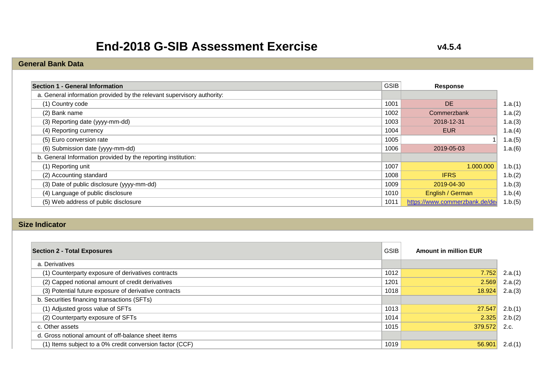# **End-2018 G-SIB Assessment Exercise**

**v4.5.4**

### **General Bank Data**

| Section 1 - General Information                                        | <b>GSIB</b> | Response                       |
|------------------------------------------------------------------------|-------------|--------------------------------|
| a. General information provided by the relevant supervisory authority: |             |                                |
| (1) Country code                                                       | 1001        | <b>DE</b>                      |
| (2) Bank name                                                          | 1002        | Commerzbank                    |
| (3) Reporting date (yyyy-mm-dd)                                        | 1003        | 2018-12-31                     |
| (4) Reporting currency                                                 | 1004        | <b>EUR</b>                     |
| (5) Euro conversion rate                                               | 1005        |                                |
| (6) Submission date (yyyy-mm-dd)                                       | 1006        | 2019-05-03                     |
| b. General Information provided by the reporting institution:          |             |                                |
| (1) Reporting unit                                                     | 1007        | 1.000.000                      |
| (2) Accounting standard                                                | 1008        | <b>IFRS</b>                    |
| (3) Date of public disclosure (yyyy-mm-dd)                             | 1009        | 2019-04-30                     |
| (4) Language of public disclosure                                      | 1010        | English / German               |
| (5) Web address of public disclosure                                   | 1011        | https://www.commerzbank.de/de/ |

#### **Size Indicator**

| <b>Section 2 - Total Exposures</b>                       | <b>GSIB</b> | <b>Amount in million EUR</b> |         |
|----------------------------------------------------------|-------------|------------------------------|---------|
| a. Derivatives                                           |             |                              |         |
| (1) Counterparty exposure of derivatives contracts       | 1012        | 7.752                        | 2.a.(1) |
| (2) Capped notional amount of credit derivatives         | 1201        | 2.569                        | 2.a.(2) |
| (3) Potential future exposure of derivative contracts    | 1018        | 18.924                       | 2.a.(3) |
| b. Securities financing transactions (SFTs)              |             |                              |         |
| (1) Adjusted gross value of SFTs                         | 1013        | 27.547                       | 2.b.(1) |
| (2) Counterparty exposure of SFTs                        | 1014        | 2.325                        | 2.b.(2) |
| c. Other assets                                          | 1015        | 379.572                      | 2.c.    |
| d. Gross notional amount of off-balance sheet items      |             |                              |         |
| (1) Items subject to a 0% credit conversion factor (CCF) | 1019        | 56.90'                       | 2.d.(1) |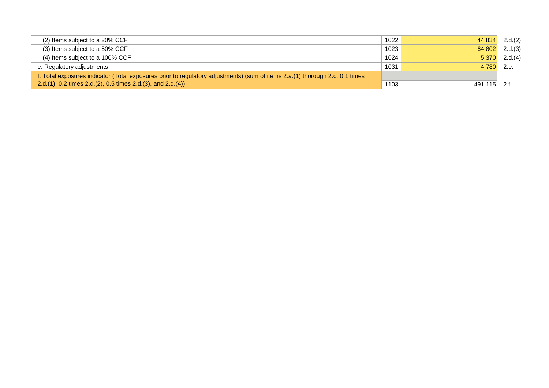| (2) Items subject to a 20% CCF                                                                                               | 1022 | 44.834       | 2.d.(2)         |
|------------------------------------------------------------------------------------------------------------------------------|------|--------------|-----------------|
| (3) Items subject to a 50% CCF                                                                                               | 1023 | 64.802       | 2.d.(3)         |
| (4) Items subject to a 100% CCF                                                                                              | 1024 |              | $5.370$ 2.d.(4) |
| e. Regulatory adjustments                                                                                                    | 1031 | 4.780 2.e.   |                 |
| f. Total exposures indicator (Total exposures prior to regulatory adjustments) (sum of items 2.a.(1) thorough 2.c, 0.1 times |      |              |                 |
| 2.d.(1), 0.2 times 2.d.(2), 0.5 times 2.d.(3), and 2.d.(4))                                                                  | 1103 | 491.115 2.f. |                 |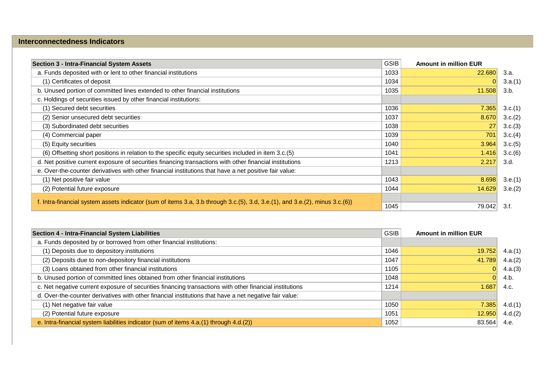#### **Interconnectedness Indicators**

| <b>Section 3 - Intra-Financial System Assets</b>                                                                                            | <b>GSIB</b> | <b>Amount in million EUR</b> |         |
|---------------------------------------------------------------------------------------------------------------------------------------------|-------------|------------------------------|---------|
| a. Funds deposited with or lent to other financial institutions                                                                             | 1033        | 22.680                       | 3.a.    |
| (1) Certificates of deposit                                                                                                                 | 1034        |                              | 3.a.(1) |
| b. Unused portion of committed lines extended to other financial institutions                                                               | 1035        | 11.508                       | 3.b.    |
| c. Holdings of securities issued by other financial institutions:                                                                           |             |                              |         |
| (1) Secured debt securities                                                                                                                 | 1036        | 7.365                        | 3.c.(1) |
| (2) Senior unsecured debt securities                                                                                                        | 1037        | 8.670                        | 3.c.(2) |
| (3) Subordinated debt securities                                                                                                            | 1038        | 27                           | 3.c.(3) |
| (4) Commercial paper                                                                                                                        | 1039        | 701                          | 3.c.(4) |
| (5) Equity securities                                                                                                                       | 1040        | 3.964                        | 3.c.(5) |
| (6) Offsetting short positions in relation to the specific equity securities included in item 3.c.(5)                                       | 1041        | 1.416                        | 3.c.(6) |
| d. Net positive current exposure of securities financing transactions with other financial institutions                                     | 1213        | 2.217                        | 3.d.    |
| e. Over-the-counter derivatives with other financial institutions that have a net positive fair value:                                      |             |                              |         |
| (1) Net positive fair value                                                                                                                 | 1043        | 8.698                        | 3.e.(1) |
| (2) Potential future exposure                                                                                                               | 1044        | 14.629                       | 3.e.(2) |
| f. Intra-financial system assets indicator (sum of items 3.a, 3.b through $3.c.(5)$ , $3.d$ , $3.e.(1)$ , and $3.e.(2)$ , minus $3.c.(6)$ ) |             |                              |         |
|                                                                                                                                             | 1045        | 79.042                       | 3.f.    |

| Section 4 - Intra-Financial System Liabilities                                                          | <b>GSIB</b> | <b>Amount in million EUR</b> |         |
|---------------------------------------------------------------------------------------------------------|-------------|------------------------------|---------|
| a. Funds deposited by or borrowed from other financial institutions:                                    |             |                              |         |
| (1) Deposits due to depository institutions                                                             | 1046        | 19.752                       | 4.a.(1) |
| (2) Deposits due to non-depository financial institutions                                               | 1047        | 41.789                       | 4.a.(2) |
| (3) Loans obtained from other financial institutions                                                    | 1105        |                              | 4.a.(3) |
| b. Unused portion of committed lines obtained from other financial institutions                         | 1048        | 0                            | 4.b.    |
| c. Net negative current exposure of securities financing transactions with other financial institutions | 1214        | .687                         | 4.c.    |
| d. Over-the-counter derivatives with other financial institutions that have a net negative fair value:  |             |                              |         |
| (1) Net negative fair value                                                                             | 1050        | 7.385                        | 4.d.(1) |
| (2) Potential future exposure                                                                           | 1051        | 12.950                       | 4.d.(2) |
| e. Intra-financial system liabilities indicator (sum of items 4.a.(1) through 4.d.(2))                  | 1052        | 83.564                       | 4.e.    |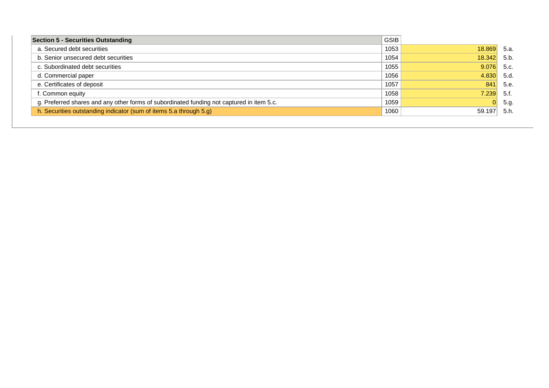| <b>Section 5 - Securities Outstanding</b>                                                 | <b>GSIB</b> |        |       |
|-------------------------------------------------------------------------------------------|-------------|--------|-------|
| a. Secured debt securities                                                                | 1053        | 18.869 | -5.а. |
| b. Senior unsecured debt securities                                                       | 1054        | 18.342 | 5.b.  |
| c. Subordinated debt securities                                                           | 1055        | 9.076  | 5.c.  |
| d. Commercial paper                                                                       | 1056        | 4.830  | 5.d.  |
| e. Certificates of deposit                                                                | 1057        | 841    | 5.e.  |
| f. Common equity                                                                          | 1058        | 7.239  | -5.f. |
| g. Preferred shares and any other forms of subordinated funding not captured in item 5.c. | 1059        | 0      | 5.g.  |
| h. Securities outstanding indicator (sum of items 5.a through 5.g)                        | 1060        | 59.197 | 5.h.  |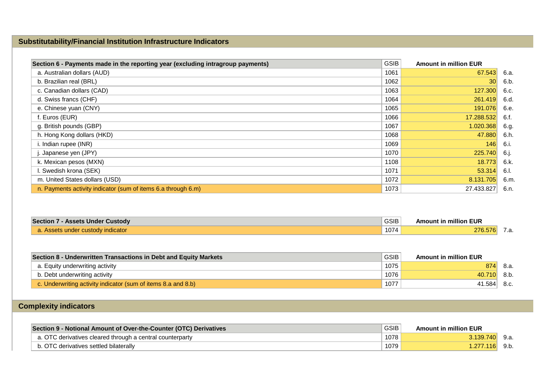### **Substitutability/Financial Institution Infrastructure Indicators**

| Section 6 - Payments made in the reporting year (excluding intragroup payments) | <b>GSIB</b> | <b>Amount in million EUR</b> |      |
|---------------------------------------------------------------------------------|-------------|------------------------------|------|
| a. Australian dollars (AUD)                                                     | 1061        | 67.543                       | 6.a. |
| b. Brazilian real (BRL)                                                         | 1062        | 30 <sup>1</sup>              | 6.b. |
| c. Canadian dollars (CAD)                                                       | 1063        | 127.300                      | 6.c. |
| d. Swiss francs (CHF)                                                           | 1064        | 261.419                      | 6.d. |
| e. Chinese yuan (CNY)                                                           | 1065        | 191.076                      | 6.e. |
| f. Euros (EUR)                                                                  | 1066        | 17.288.532                   | 6.f. |
| g. British pounds (GBP)                                                         | 1067        | 1.020.368                    | 6.g. |
| h. Hong Kong dollars (HKD)                                                      | 1068        | 47.880                       | 6.h. |
| i. Indian rupee (INR)                                                           | 1069        | 146                          | 6.i. |
| . Japanese yen (JPY)                                                            | 1070        | 225.740                      | 6.j. |
| k. Mexican pesos (MXN)                                                          | 1108        | 18.773                       | 6.k. |
| I. Swedish krona (SEK)                                                          | 1071        | 53.314                       | 6.I. |
| m. United States dollars (USD)                                                  | 1072        | 8.131.705                    | 6.m. |
| n. Payments activity indicator (sum of items 6.a through 6.m)                   | 1073        | 27.433.827                   | 6.n. |

| <b>Section 7 - Assets Under Custody</b> | <b>GSIB</b> | <b>Amount in million EUR</b> |  |
|-----------------------------------------|-------------|------------------------------|--|
| . Assets under custody indicator        | 1074        | 276.576                      |  |

| Section 8 - Underwritten Transactions in Debt and Equity Markets | <b>GSIB</b> | <b>Amount in million EUR</b> |      |
|------------------------------------------------------------------|-------------|------------------------------|------|
| a. Equity underwriting activity                                  | 1075        | 874                          | .8a. |
| b. Debt underwriting activity                                    | 1076        | 40.710                       | 8.b. |
| c. Underwriting activity indicator (sum of items 8.a and 8.b)    | 1077        | 41.584                       | 8.c. |

## **Complexity indicators**

| Section 9 - Notional Amount of Over-the-Counter (OTC) Derivatives | <b>GSIB</b> | <b>Amount in million EUR</b> |  |
|-------------------------------------------------------------------|-------------|------------------------------|--|
| a. OTC derivatives cleared through a central counterparty         | 1078        | 3.139.740                    |  |
| b. OTC derivatives settled bilaterally                            | 1079        | l.277.116l                   |  |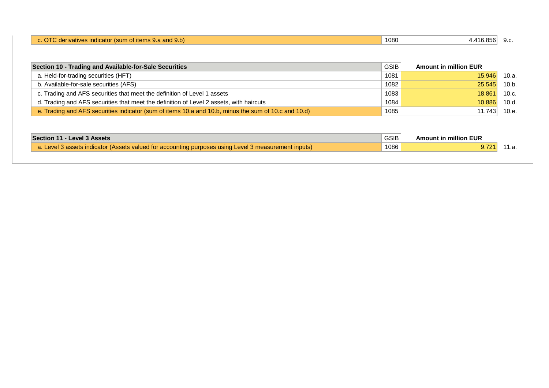| $\mathsf r$ (sum of items 9.a and 9.b) $\mathsf r$<br>dicator<br>derivatives ind<br>$\sim$<br>u. | 1080 | . 416.856 | $\sim$<br>ວ.ບ. |
|--------------------------------------------------------------------------------------------------|------|-----------|----------------|
|                                                                                                  |      |           |                |

| Section 10 - Trading and Available-for-Sale Securities                                               | GSIB <sup>1</sup> | <b>Amount in million EUR</b> |       |
|------------------------------------------------------------------------------------------------------|-------------------|------------------------------|-------|
| a. Held-for-trading securities (HFT)                                                                 | 1081              | 15.946                       | 10.a. |
| b. Available-for-sale securities (AFS)                                                               | 1082              | 25.545                       | 10.b. |
| c. Trading and AFS securities that meet the definition of Level 1 assets                             | 1083              | 18.861                       | 10.c. |
| d. Trading and AFS securities that meet the definition of Level 2 assets, with haircuts              | 1084              | 10.886                       | 10.d. |
| e. Trading and AFS securities indicator (sum of items 10.a and 10.b, minus the sum of 10.c and 10.d) | 1085              | 11.743                       | 10.e. |

| Section 11 - Level 3 Assets                                                                                               | GSIB | <b>Amount in million EUR</b> |       |
|---------------------------------------------------------------------------------------------------------------------------|------|------------------------------|-------|
| $\sqrt{a}$ . Level 3 assets indicator (Assets valued for accounting purposes using Level 3 measurement inputs) $\sqrt{a}$ | 1086 | 9.721                        | 11.a. |